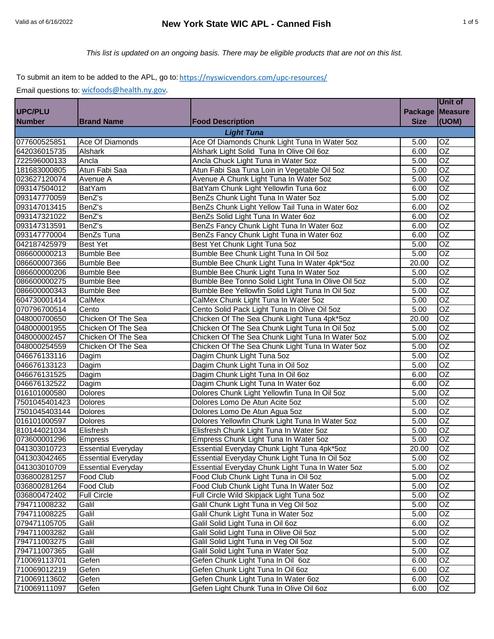|               |                           |                                                    |             | <b>Unit of</b>  |
|---------------|---------------------------|----------------------------------------------------|-------------|-----------------|
| UPC/PLU       |                           |                                                    |             | Package Measure |
| <b>Number</b> | <b>Brand Name</b>         | <b>Food Description</b>                            | <b>Size</b> | (UOM)           |
|               |                           | <b>Light Tuna</b>                                  |             |                 |
| 077600525851  | Ace Of Diamonds           | Ace Of Diamonds Chunk Light Tuna In Water 5oz      | 5.00        | OZ              |
| 642036015735  | Alshark                   | Alshark Light Solid Tuna In Olive Oil 60z          | 6.00        | $\overline{OZ}$ |
| 722596000133  | Ancla                     | Ancla Chuck Light Tuna in Water 5oz                | 5.00        | <b>OZ</b>       |
| 181683000805  | Atun Fabi Saa             | Atun Fabi Saa Tuna Loin in Vegetable Oil 5oz       | 5.00        | $\overline{OZ}$ |
| 023627120074  | Avenue A                  | Avenue A Chunk Light Tuna In Water 5oz             | 5.00        | $\overline{OZ}$ |
| 093147504012  | <b>BatYam</b>             | BatYam Chunk Light Yellowfin Tuna 6oz              | 6.00        | $\overline{OZ}$ |
| 093147770059  | BenZ's                    | BenZs Chunk Light Tuna In Water 5oz                | 5.00        | $\overline{OZ}$ |
| 093147013415  | BenZ's                    | BenZs Chunk Light Yellow Tail Tuna in Water 60z    | 6.00        | OZ              |
| 093147321022  | BenZ's                    | BenZs Solid Light Tuna In Water 6oz                | 6.00        | $\overline{OZ}$ |
| 093147313591  | BenZ's                    | BenZs Fancy Chunk Light Tuna In Water 6oz          | 6.00        | $\overline{OZ}$ |
| 093147770004  | BenZs Tuna                | BenZs Fancy Chunk Light Tuna in Water 6oz          | 6.00        | $\overline{OZ}$ |
| 042187425979  | <b>Best Yet</b>           | Best Yet Chunk Light Tuna 5oz                      | 5.00        | $\overline{OZ}$ |
| 086600000213  | <b>Bumble Bee</b>         | Bumble Bee Chunk Light Tuna In Oil 5oz             | 5.00        | $\overline{OZ}$ |
| 086600007366  | <b>Bumble Bee</b>         | Bumble Bee Chunk Light Tuna In Water 4pk*5oz       | 20.00       | <b>OZ</b>       |
| 086600000206  | <b>Bumble Bee</b>         | Bumble Bee Chunk Light Tuna In Water 5oz           | 5.00        | $\overline{OZ}$ |
| 086600000275  | <b>Bumble Bee</b>         | Bumble Bee Tonno Solid Light Tuna In Olive Oil 5oz | 5.00        | $\overline{OZ}$ |
| 086600000343  | <b>Bumble Bee</b>         | Bumble Bee Yellowfin Solid Light Tuna In Oil 5oz   | 5.00        | <b>OZ</b>       |
| 604730001414  | CalMex                    | CalMex Chunk Light Tuna In Water 5oz               | 5.00        | $\overline{OZ}$ |
| 070796700514  | Cento                     | Cento Solid Pack Light Tuna In Olive Oil 5oz       | 5.00        | $\overline{OZ}$ |
| 048000700650  | Chicken Of The Sea        | Chicken Of The Sea Chunk Light Tuna 4pk*5oz        | 20.00       | OZ              |
| 048000001955  | Chicken Of The Sea        | Chicken Of The Sea Chunk Light Tuna In Oil 5oz     | 5.00        | OZ              |
| 048000002457  | Chicken Of The Sea        | Chicken Of The Sea Chunk Light Tuna In Water 50z   | 5.00        | $\overline{OZ}$ |
| 048000254559  | Chicken Of The Sea        | Chicken Of The Sea Chunk Light Tuna In Water 5oz   | 5.00        | OZ              |
| 046676133116  | Dagim                     | Dagim Chunk Light Tuna 5oz                         | 5.00        | $\overline{OZ}$ |
| 046676133123  | Dagim                     | Dagim Chunk Light Tuna in Oil 5oz                  | 5.00        | $\overline{OZ}$ |
| 046676131525  | Dagim                     | Dagim Chunk Light Tuna In Oil 60z                  | 6.00        | OZ              |
| 046676132522  | Dagim                     | Dagim Chunk Light Tuna In Water 6oz                | 6.00        | $\overline{OZ}$ |
| 016101000580  | <b>Dolores</b>            | Dolores Chunk Light Yellowfin Tuna In Oil 5oz      | 5.00        | $\overline{OZ}$ |
| 7501045401423 | <b>Dolores</b>            | Dolores Lomo De Atun Acite 5oz                     | 5.00        | $\overline{OZ}$ |
| 7501045403144 | <b>Dolores</b>            | Dolores Lomo De Atun Agua 5oz                      | 5.00        | $\overline{OZ}$ |
| 016101000597  | <b>Dolores</b>            | Dolores Yellowfin Chunk Light Tuna In Water 5oz    | 5.00        | $\overline{OZ}$ |
| 810144021034  | Elisfresh                 | Elisfresh Chunk Light Tuna In Water 5oz            | 5.00        | OZ              |
| 073600001296  | <b>Empress</b>            | Empress Chunk Light Tuna In Water 5oz              | 5.00        | OZ              |
| 041303010723  | <b>Essential Everyday</b> | Essential Everyday Chunk Light Tuna 4pk*5oz        | 20.00       | $\overline{OZ}$ |
| 041303042465  | <b>Essential Everyday</b> | Essential Everyday Chunk Light Tuna In Oil 5oz     | 5.00        | OZ              |
| 041303010709  | <b>Essential Everyday</b> | Essential Everyday Chunk Light Tuna In Water 5oz   | 5.00        | OZ              |
| 036800281257  | Food Club                 | Food Club Chunk Light Tuna in Oil 5oz              | 5.00        | $\overline{OZ}$ |
| 036800281264  | Food Club                 | Food Club Chunk Light Tuna In Water 5oz            | 5.00        | $\overline{OZ}$ |
| 036800472402  | <b>Full Circle</b>        | Full Circle Wild Skipjack Light Tuna 5oz           | 5.00        | $\overline{OZ}$ |
| 794711008232  | Galil                     | Galil Chunk Light Tuna in Veg Oil 5oz              | 5.00        | $\overline{OZ}$ |
| 794711008225  | Galil                     | Galil Chunk Light Tuna in Water 5oz                | 5.00        | $\overline{OZ}$ |
| 079471105705  | Galil                     | Galil Solid Light Tuna in Oil 6oz                  | 6.00        | OZ              |
| 794711003282  | Galil                     | Galil Solid Light Tuna in Olive Oil 5oz            | 5.00        | OZ              |
| 794711003275  | Galil                     | Galil Solid Light Tuna in Veg Oil 5oz              | 5.00        | OZ              |
| 794711007365  | Galil                     | Galil Solid Light Tuna in Water 5oz                | 5.00        | OZ              |
| 710069113701  | Gefen                     | Gefen Chunk Light Tuna In Oil 60z                  | 6.00        | OZ              |
| 710069012219  | Gefen                     | Gefen Chunk Light Tuna In Oil 6oz                  | 6.00        | OZ              |
| 710069113602  | Gefen                     | Gefen Chunk Light Tuna In Water 60z                | 6.00        | OZ              |
| 710069111097  | Gefen                     | Gefen Light Chunk Tuna In Olive Oil 60z            | 6.00        | OZ              |
|               |                           |                                                    |             |                 |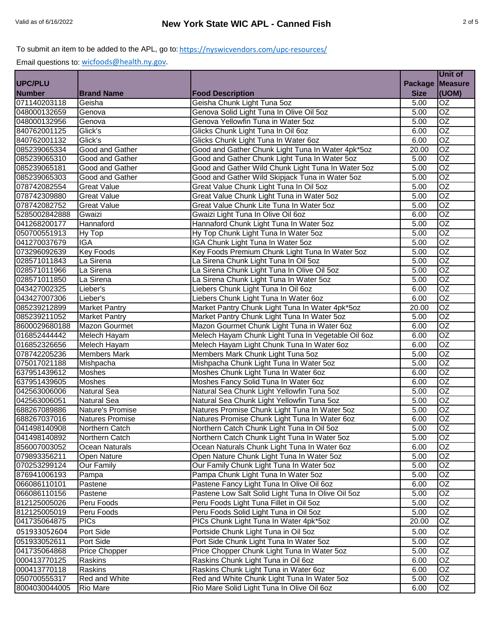|                |                        |                                                    |                | Unit of         |
|----------------|------------------------|----------------------------------------------------|----------------|-----------------|
| <b>UPC/PLU</b> |                        |                                                    | <b>Package</b> | <b>Measure</b>  |
| <b>Number</b>  | <b>Brand Name</b>      | <b>Food Description</b>                            | <b>Size</b>    | (UOM)           |
| 071140203118   | Geisha                 | Geisha Chunk Light Tuna 5oz                        | 5.00           | OZ              |
| 048000132659   | Genova                 | Genova Solid Light Tuna In Olive Oil 5oz           | 5.00           | OZ              |
| 048000132956   | Genova                 | Genova Yellowfin Tuna in Water 5oz                 | 5.00           | $\overline{OZ}$ |
| 840762001125   | Glick's                | Glicks Chunk Light Tuna In Oil 6oz                 | 6.00           | $\overline{OZ}$ |
| 840762001132   | Glick's                | Glicks Chunk Light Tuna In Water 6oz               | 6.00           | $\overline{OZ}$ |
| 085239065334   | Good and Gather        | Good and Gather Chunk Light Tuna In Water 4pk*5oz  | 20.00          | $\overline{OZ}$ |
| 085239065310   | Good and Gather        | Good and Gather Chunk Light Tuna In Water 5oz      | 5.00           | $\overline{OZ}$ |
| 085239065181   | Good and Gather        | Good and Gather Wild Chunk Light Tuna In Water 5oz | 5.00           | OZ              |
| 085239065303   | Good and Gather        | Good and Gather Wild Skipjack Tuna in Water 5oz    | 5.00           | $\overline{OZ}$ |
| 078742082554   | <b>Great Value</b>     | Great Value Chunk Light Tuna In Oil 5oz            | 5.00           | $\overline{OZ}$ |
| 078742309880   | <b>Great Value</b>     | Great Value Chunk Light Tuna in Water 5oz          | 5.00           | OZ              |
| 078742082752   | <b>Great Value</b>     | Great Value Chunk Lite Tuna In Water 5oz           | 5.00           | $\overline{OZ}$ |
| 5285002842888  | Gwaizi                 | Gwaizi Light Tuna In Olive Oil 6oz                 | 6.00           | OZ              |
| 041268200177   | Hannaford              | Hannaford Chunk Light Tuna In Water 5oz            | 5.00           | $\overline{OZ}$ |
| 050700551913   | Hy Top                 | Hy Top Chunk Light Tuna In Water 5oz               | 5.00           | $\overline{OZ}$ |
| 041270037679   | <b>IGA</b>             | IGA Chunk Light Tuna In Water 5oz                  | 5.00           | $\overline{OZ}$ |
| 073296092639   | <b>Key Foods</b>       | Key Foods Premium Chunk Light Tuna In Water 5oz    | 5.00           | $\overline{OZ}$ |
| 028571011843   | La Sirena              | La Sirena Chunk Light Tuna In Oil 5oz              | 5.00           | $\overline{OZ}$ |
| 028571011966   | La Sirena              | La Sirena Chunk Light Tuna In Olive Oil 50Z        | 5.00           | OZ              |
| 028571011850   | La Sirena              | La Sirena Chunk Light Tuna In Water 5oz            | 5.00           | $\overline{OZ}$ |
| 043427002325   | Lieber's               | Liebers Chunk Light Tuna In Oil 6oz                | 6.00           | $\overline{OZ}$ |
| 043427007306   | Lieber's               | Liebers Chunk Light Tuna In Water 60z              | 6.00           | $\overline{OZ}$ |
| 085239212899   | <b>Market Pantry</b>   | Market Pantry Chunk Light Tuna In Water 4pk*5oz    | 20.00          | $\overline{OZ}$ |
| 085239211052   | <b>Market Pantry</b>   | Market Pantry Chunk Light Tuna In Water 5oz        | 5.00           | $\overline{OZ}$ |
| 8600029680188  | <b>Mazon Gourmet</b>   | Mazon Gourmet Chunk Light Tuna in Water 6oz        | 6.00           | $\overline{OZ}$ |
| 016852444442   | Melech Hayam           | Melech Hayam Chunk Light Tuna In Vegetable Oil 6oz | 6.00           | $\overline{OZ}$ |
| 016852326656   | Melech Hayam           | Melech Hayam Light Chunk Tuna In Water 6oz         | 6.00           | $\overline{OZ}$ |
| 078742205236   | <b>Members Mark</b>    | Members Mark Chunk Light Tuna 5oz                  | 5.00           | $\overline{OZ}$ |
| 075017021188   | Mishpacha              | Mishpacha Chunk Light Tuna In Water 50z            | 5.00           | $\overline{OZ}$ |
| 637951439612   | Moshes                 | Moshes Chunk Light Tuna In Water 6oz               | 6.00           | $\overline{OZ}$ |
| 637951439605   | <b>Moshes</b>          | Moshes Fancy Solid Tuna In Water 6oz               | 6.00           | $\overline{OZ}$ |
| 042563006006   | <b>Natural Sea</b>     | Natural Sea Chunk Light Yellowfin Tuna 5oz         | 5.00           | OZ              |
| 042563006051   | <b>Natural Sea</b>     | Natural Sea Chunk Light Yellowfin Tuna 5oz         | 5.00           | OZ              |
| 688267089886   | Nature's Promise       | Natures Promise Chunk Light Tuna In Water 5oz      | 5.00           | $\overline{OZ}$ |
| 688267037016   | <b>Natures Promise</b> | Natures Promise Chunk Light Tuna In Water 6oz      | 6.00           | OZ              |
| 041498140908   | Northern Catch         | Northern Catch Chunk Light Tuna In Oil 5oz         | 5.00           | $\overline{OZ}$ |
| 041498140892   | Northern Catch         | Northern Catch Chunk Light Tuna In Water 5oz       | 5.00           | OZ.             |
| 856007003052   | Ocean Naturals         | Ocean Naturals Chunk Light Tuna In Water 60z       | 6.00           | $\overline{OZ}$ |
| 079893356211   | Open Nature            | Open Nature Chunk Light Tuna In Water 5oz          | 5.00           | OZ              |
| 070253299124   | <b>Our Family</b>      | Our Family Chunk Light Tuna In Water 50z           | 5.00           | OZ              |
| 876941006193   | Pampa                  | Pampa Chunk Light Tuna In Water 5oz                | 5.00           | OZ              |
| 066086110101   | Pastene                | Pastene Fancy Light Tuna In Olive Oil 6oz          | 6.00           | OZ              |
| 066086110156   | Pastene                | Pastene Low Salt Solid Light Tuna In Olive Oil 5oz | 5.00           | OZ              |
| 812125005026   | Peru Foods             | Peru Foods Light Tuna Fillet in Oil 5oz            | 5.00           | OZ              |
| 812125005019   | Peru Foods             | Peru Foods Solid Light Tuna in Oil 5oz             | 5.00           | OZ              |
| 041735064875   | <b>PICs</b>            | PICs Chunk Light Tuna In Water 4pk*5oz             | 20.00          | OZ              |
| 051933052604   | Port Side              | Portside Chunk Light Tuna in Oil 5oz               | 5.00           | OZ              |
| 051933052611   | Port Side              | Port Side Chunk Light Tuna In Water 5oz            | 5.00           | OZ              |
| 041735064868   | Price Chopper          | Price Chopper Chunk Light Tuna In Water 5oz        | 5.00           | OZ              |
| 000413770125   | Raskins                | Raskins Chunk Light Tuna in Oil 60z                | 6.00           | OZ              |
| 000413770118   | Raskins                | Raskins Chunk Light Tuna in Water 60z              | 6.00           | OZ              |
| 050700555317   | Red and White          | Red and White Chunk Light Tuna In Water 5oz        | 5.00           | OZ              |
| 8004030044005  | <b>Rio Mare</b>        | Rio Mare Solid Light Tuna In Olive Oil 60z         | 6.00           | OZ              |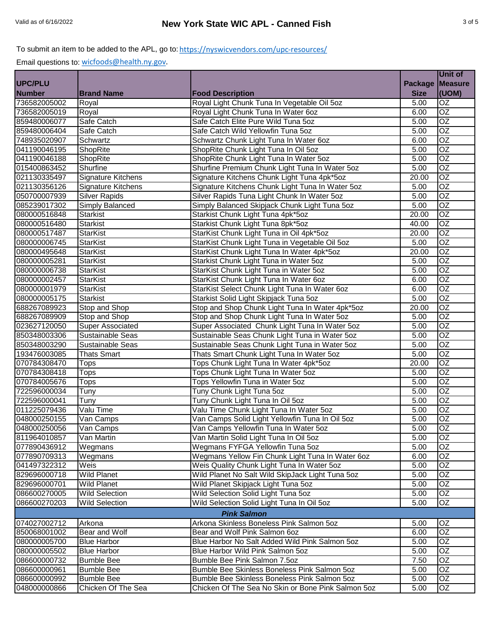|                |                           |                                                    |                | Unit of         |
|----------------|---------------------------|----------------------------------------------------|----------------|-----------------|
| <b>UPC/PLU</b> |                           |                                                    | <b>Package</b> | Measure         |
| <b>Number</b>  | <b>Brand Name</b>         | <b>Food Description</b>                            | <b>Size</b>    | (UOM)           |
| 736582005002   | Royal                     | Royal Light Chunk Tuna In Vegetable Oil 5oz        | 5.00           | $\overline{OZ}$ |
| 736582005019   | Royal                     | Royal Light Chunk Tuna In Water 6oz                | 6.00           | $\overline{OZ}$ |
| 859480006077   | Safe Catch                | Safe Catch Elite Pure Wild Tuna 5oz                | 5.00           | $\overline{OZ}$ |
| 859480006404   | Safe Catch                | Safe Catch Wild Yellowfin Tuna 5oz                 | 5.00           | $\overline{OZ}$ |
| 748935020907   | Schwartz                  | Schwartz Chunk Light Tuna In Water 60z             | 6.00           | $\overline{OZ}$ |
| 041190046195   | ShopRite                  | ShopRite Chunk Light Tuna In Oil 5oz               | 5.00           | $\overline{OZ}$ |
| 041190046188   | ShopRite                  | ShopRite Chunk Light Tuna In Water 5oz             | 5.00           | $\overline{OZ}$ |
| 015400863452   | Shurfine                  | Shurfine Premium Chunk Light Tuna In Water 5oz     | 5.00           | OZ              |
| 021130335497   | <b>Signature Kitchens</b> | Signature Kitchens Chunk Light Tuna 4pk*5oz        | 20.00          | $\overline{OZ}$ |
| 021130356126   | Signature Kitchens        | Signature Kitchens Chunk Light Tuna In Water 5oz   | 5.00           | OZ              |
| 050700007939   | <b>Silver Rapids</b>      | Silver Rapids Tuna Light Chunk In Water 5oz        | 5.00           | OZ              |
| 085239017302   | <b>Simply Balanced</b>    | Simply Balanced Skipjack Chunk Light Tuna 5oz      | 5.00           | $\overline{OZ}$ |
| 080000516848   | <b>Starkist</b>           | Starkist Chunk Light Tuna 4pk*5oz                  | 20.00          | OZ              |
| 080000516480   | Starkist                  | Starkist Chunk Light Tuna 8pk*5oz                  | 40.00          | $\overline{OZ}$ |
| 080000517487   | <b>StarKist</b>           | StarKist Chunk Light Tuna in Oil 4pk*5oz           | 20.00          | $\overline{OZ}$ |
| 080000006745   | <b>StarKist</b>           | StarKist Chunk Light Tuna in Vegetable Oil 5oz     | 5.00           | $\overline{OZ}$ |
| 080000495648   | <b>StarKist</b>           | StarKist Chunk Light Tuna In Water 4pk*5oz         | 20.00          | $\overline{OZ}$ |
| 080000005281   | <b>StarKist</b>           | Starkist Chunk Light Tuna in Water 5oz             | 5.00           | $\overline{OZ}$ |
| 080000006738   | <b>StarKist</b>           | StarKist Chunk Light Tuna in Water 5oz             | 5.00           | $\overline{OZ}$ |
| 080000002457   | <b>StarKist</b>           | StarKist Chunk Light Tuna In Water 60z             | 6.00           | $\overline{OZ}$ |
| 080000001979   | <b>StarKist</b>           | StarKist Select Chunk Light Tuna In Water 6oz      | 6.00           | $\overline{OZ}$ |
| 080000005175   | <b>Starkist</b>           | Starkist Solid Light Skipjack Tuna 5oz             | 5.00           | $\overline{OZ}$ |
| 688267089923   | Stop and Shop             | Stop and Shop Chunk Light Tuna In Water 4pk*5oz    | 20.00          | $\overline{OZ}$ |
| 688267089909   | Stop and Shop             | Stop and Shop Chunk Light Tuna In Water 5oz        | 5.00           | $\overline{OZ}$ |
| 023627120050   | <b>Super Associated</b>   | Super Associated Chunk Light Tuna In Water 5oz     | 5.00           | $\overline{OZ}$ |
| 850348003306   | Sustainable Seas          | Sustainable Seas Chunk Light Tuna in Water 5oz     | 5.00           | $\overline{OZ}$ |
| 850348003290   | <b>Sustainable Seas</b>   | Sustainable Seas Chunk Light Tuna in Water 5oz     | 5.00           | $\overline{OZ}$ |
| 193476003085   | <b>Thats Smart</b>        | Thats Smart Chunk Light Tuna In Water 5oz          | 5.00           | $\overline{OZ}$ |
| 070784308470   | <b>Tops</b>               | Tops Chunk Light Tuna In Water 4pk*5oz             | 20.00          | $\overline{OZ}$ |
| 070784308418   | <b>Tops</b>               | Tops Chunk Light Tuna In Water 5oz                 | 5.00           | $\overline{OZ}$ |
| 070784005676   | <b>Tops</b>               | Tops Yellowfin Tuna in Water 5oz                   | 5.00           | $\overline{OZ}$ |
| 722596000034   | Tuny                      | Tuny Chunk Light Tuna 5oz                          | 5.00           | OZ              |
| 722596000041   | Tuny                      | Tuny Chunk Light Tuna In Oil 5oz                   | 5.00           | OZ              |
| 011225079436   | Valu Time                 | Valu Time Chunk Light Tuna In Water 5oz            | 5.00           | $\overline{OZ}$ |
| 048000250155   | Van Camps                 | Van Camps Solid Light Yellowfin Tuna In Oil 5oz    | 5.00           | $\overline{OZ}$ |
| 048000250056   | Van Camps                 | Van Camps Yellowfin Tuna In Water 5oz              | 5.00           | OZ              |
| 811964010857   | Van Martin                | Van Martin Solid Light Tuna In Oil 5oz             | 5.00           | <b>OZ</b>       |
| 077890436912   | Wegmans                   | Wegmans FYFGA Yellowfin Tuna 5oz                   | 5.00           | $\overline{OZ}$ |
| 077890709313   | Wegmans                   | Wegmans Yellow Fin Chunk Light Tuna In Water 6oz   | 6.00           | OZ              |
| 041497322312   | Weis                      | Weis Quality Chunk Light Tuna In Water 5oz         | 5.00           | OZ              |
| 829696000718   | <b>Wild Planet</b>        | Wild Planet No Salt Wild SkipJack Light Tuna 5oz   | 5.00           | OZ              |
| 829696000701   | <b>Wild Planet</b>        | Wild Planet Skipjack Light Tuna 5oz                | 5.00           | OZ              |
| 086600270005   | <b>Wild Selection</b>     | Wild Selection Solid Light Tuna 5oz                | 5.00           | OZ              |
| 086600270203   | Wild Selection            | Wild Selection Solid Light Tuna In Oil 5oz         | 5.00           | OZ              |
|                |                           | <b>Pink Salmon</b>                                 |                |                 |
| 074027002712   | Arkona                    | Arkona Skinless Boneless Pink Salmon 5oz           | 5.00           | OZ.             |
| 850068001002   | Bear and Wolf             | Bear and Wolf Pink Salmon 6oz                      | 6.00           | OZ              |
| 080000005700   | <b>Blue Harbor</b>        | Blue Harbor No Salt Added Wild Pink Salmon 50z     | 5.00           | OZ              |
| 080000005502   | <b>Blue Harbor</b>        | Blue Harbor Wild Pink Salmon 5oz                   | 5.00           | OZ              |
| 086600000732   | <b>Bumble Bee</b>         | Bumble Bee Pink Salmon 7.5oz                       | 7.50           | OZ              |
| 086600000961   | <b>Bumble Bee</b>         | Bumble Bee Skinless Boneless Pink Salmon 5oz       | 5.00           | OZ              |
| 086600000992   | <b>Bumble Bee</b>         | Bumble Bee Skinless Boneless Pink Salmon 5oz       | 5.00           | OZ              |
| 048000000866   | Chicken Of The Sea        | Chicken Of The Sea No Skin or Bone Pink Salmon 5oz | 5.00           | OZ              |
|                |                           |                                                    |                |                 |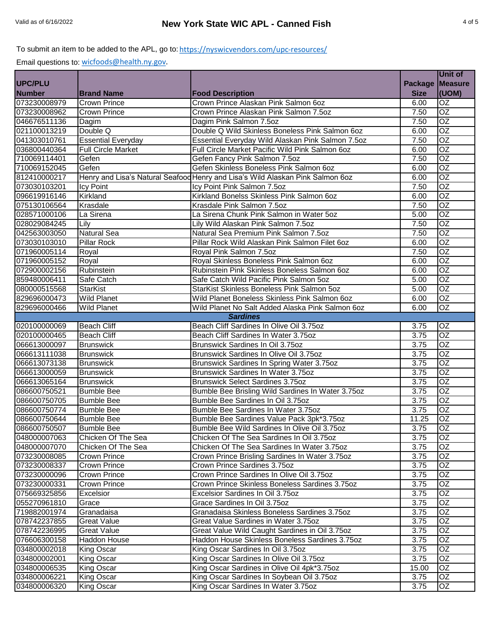|                |                           |                                                                                |                   | Unit of         |
|----------------|---------------------------|--------------------------------------------------------------------------------|-------------------|-----------------|
| <b>UPC/PLU</b> |                           |                                                                                | <b>Package</b>    | <b>Measure</b>  |
| <b>Number</b>  | <b>Brand Name</b>         | <b>Food Description</b>                                                        | <b>Size</b>       | (UOM)           |
| 073230008979   | <b>Crown Prince</b>       | Crown Prince Alaskan Pink Salmon 6oz                                           | 6.00              | OZ              |
| 073230008962   | <b>Crown Prince</b>       | Crown Prince Alaskan Pink Salmon 7.5oz                                         | 7.50              | OZ              |
| 046676511136   | <b>Dagim</b>              | Dagim Pink Salmon 7.5oz                                                        | 7.50              | $\overline{OZ}$ |
| 021100013219   | Double Q                  | Double Q Wild Skinless Boneless Pink Salmon 6oz                                | 6.00              | $\overline{OZ}$ |
| 041303010761   | <b>Essential Everyday</b> | Essential Everyday Wild Alaskan Pink Salmon 7.5oz                              | 7.50              | $\overline{OZ}$ |
| 036800440364   | <b>Full Circle Market</b> | Full Circle Market Pacific Wild Pink Salmon 6oz                                | 6.00              | $\overline{OZ}$ |
| 710069114401   | Gefen                     | Gefen Fancy Pink Salmon 7.5oz                                                  | 7.50              | $\overline{OZ}$ |
| 710069152045   | Gefen                     | Gefen Skinless Boneless Pink Salmon 6oz                                        | 6.00              | OZ              |
| 812410000217   |                           | Henry and Lisa's Natural Seafood Henry and Lisa's Wild Alaskan Pink Salmon 6oz | 6.00              | OZ              |
| 073030103201   | Icy Point                 | Icy Point Pink Salmon 7.5oz                                                    | 7.50              | $\overline{OZ}$ |
| 096619916146   | Kirkland                  | Kirkland Bonelss Skinless Pink Salmon 6oz                                      | 6.00              | $\overline{OZ}$ |
| 075130106564   | Krasdale                  | Krasdale Pink Salmon 7.5oz                                                     | 7.50              | $\overline{OZ}$ |
| 028571000106   | La Sirena                 | La Sirena Chunk Pink Salmon in Water 5oz                                       | 5.00              | <b>OZ</b>       |
| 028029084245   | Lily                      | Lily Wild Alaskan Pink Salmon 7.5oz                                            | 7.50              | $\overline{OZ}$ |
| 042563003050   | <b>Natural Sea</b>        | Natural Sea Premium Pink Salmon 7.5oz                                          | 7.50              | $\overline{OZ}$ |
| 073030103010   | <b>Pillar Rock</b>        | Pillar Rock Wild Alaskan Pink Salmon Filet 6oz                                 | 6.00              | $\overline{OZ}$ |
| 071960005114   | Royal                     | Royal Pink Salmon 7.5oz                                                        | 7.50              | $\overline{OZ}$ |
| 071960005152   | Royal                     | Royal Skinless Boneless Pink Salmon 6oz                                        | 6.00              | $\overline{OZ}$ |
| 072900002156   | Rubinstein                | Rubinstein Pink Skinless Boneless Salmon 6oz                                   | 6.00              | $\overline{OZ}$ |
| 859480006411   | Safe Catch                | Safe Catch Wild Pacific Pink Salmon 5oz                                        | 5.00              | $\overline{OZ}$ |
| 080000515568   | StarKist                  | StarKist Skinless Boneless Pink Salmon 5oz                                     | 5.00              | $\overline{OZ}$ |
| 829696000473   | <b>Wild Planet</b>        | Wild Planet Boneless Skinless Pink Salmon 6oz                                  | 6.00              | $\overline{OZ}$ |
| 829696000466   | <b>Wild Planet</b>        | Wild Planet No Salt Added Alaska Pink Salmon 6oz                               | 6.00              | OZ              |
|                |                           | <b>Sardines</b>                                                                |                   |                 |
| 020100000069   | <b>Beach Cliff</b>        | Beach Cliff Sardines In Olive Oil 3.75oz                                       | 3.75              | OZ              |
| 020100000465   | <b>Beach Cliff</b>        | Beach Cliff Sardines In Water 3.75oz                                           | 3.75              | $\overline{OZ}$ |
| 066613000097   | <b>Brunswick</b>          | Brunswick Sardines In Oil 3.75oz                                               | 3.75              | $\overline{OZ}$ |
| 066613111038   | <b>Brunswick</b>          | Brunswick Sardines In Olive Oil 3.75oz                                         | 3.75              | $\overline{OZ}$ |
| 066613073138   | <b>Brunswick</b>          | Brunswick Sardines In Spring Water 3.75oz                                      | 3.75              | $\overline{OZ}$ |
| 066613000059   | <b>Brunswick</b>          | Brunswick Sardines In Water 3.75oz                                             | 3.75              | $\overline{OZ}$ |
| 066613065164   | <b>Brunswick</b>          | <b>Brunswick Select Sardines 3.75oz</b>                                        | $\overline{3.75}$ | $\overline{OZ}$ |
| 086600750521   | <b>Bumble Bee</b>         | Bumble Bee Brisling Wild Sardines In Water 3.75oz                              | 3.75              | OZ              |
| 086600750705   | <b>Bumble Bee</b>         | Bumble Bee Sardines In Oil 3.75oz                                              | $\overline{3.75}$ | OZ              |
| 086600750774   | <b>Bumble Bee</b>         | Bumble Bee Sardines In Water 3.75oz                                            | $\overline{3.75}$ | $\overline{OZ}$ |
| 086600750644   | <b>Bumble Bee</b>         | Bumble Bee Sardines Value Pack 3pk*3.75oz                                      | 11.25             | OZ              |
| 086600750507   | <b>Bumble Bee</b>         | Bumble Bee Wild Sardines In Olive Oil 3.75oz                                   | 3.75              | OZ              |
| 048000007063   | Chicken Of The Sea        | Chicken Of The Sea Sardines In Oil 3.75oz                                      | 3.75              | OZ              |
| 048000007070   | Chicken Of The Sea        | Chicken Of The Sea Sardines In Water 3.75oz                                    | 3.75              | $\overline{OZ}$ |
| 073230008085   | <b>Crown Prince</b>       | Crown Prince Brisling Sardines In Water 3.75oz                                 | 3.75              | OZ              |
| 073230008337   | <b>Crown Prince</b>       | Crown Prince Sardines 3.75oz                                                   | 3.75              | OZ              |
| 073230000096   | <b>Crown Prince</b>       | Crown Prince Sardines In Olive Oil 3.75oz                                      | 3.75              | OZ              |
| 073230000331   | <b>Crown Prince</b>       | Crown Prince Skinless Boneless Sardines 3.75oz                                 | 3.75              | OZ              |
| 075669325856   | Excelsior                 | Excelsior Sardines In Oil 3.75oz                                               | 3.75              | OZ              |
| 055270961810   | Grace                     | Grace Sardines In Oil 3.75oz                                                   | 3.75              | OZ              |
| 719882001974   | Granadaisa                | Granadaisa Skinless Boneless Sardines 3.75oz                                   | 3.75              | OZ              |
| 078742237855   | <b>Great Value</b>        | Great Value Sardines in Water 3.75oz                                           | 3.75              | OZ              |
| 078742236995   | <b>Great Value</b>        | Great Value Wild Caught Sardines in Oil 3.75oz                                 | 3.75              | OZ              |
| 076606300158   | Haddon House              | Haddon House Skinless Boneless Sardines 3.75oz                                 | 3.75              | OZ.             |
| 034800002018   | King Oscar                | King Oscar Sardines In Oil 3.75oz                                              | 3.75              | OZ              |
| 034800002001   | King Oscar                | King Oscar Sardines In Olive Oil 3.75oz                                        | 3.75              | OZ              |
| 034800006535   | King Oscar                | King Oscar Sardines in Olive Oil 4pk*3.75oz                                    | 15.00             | OZ              |
| 034800006221   | King Oscar                | King Oscar Sardines In Soybean Oil 3.75oz                                      | 3.75              | OZ.             |
| 034800006320   | King Oscar                | King Oscar Sardines In Water 3.75oz                                            | 3.75              | OZ              |